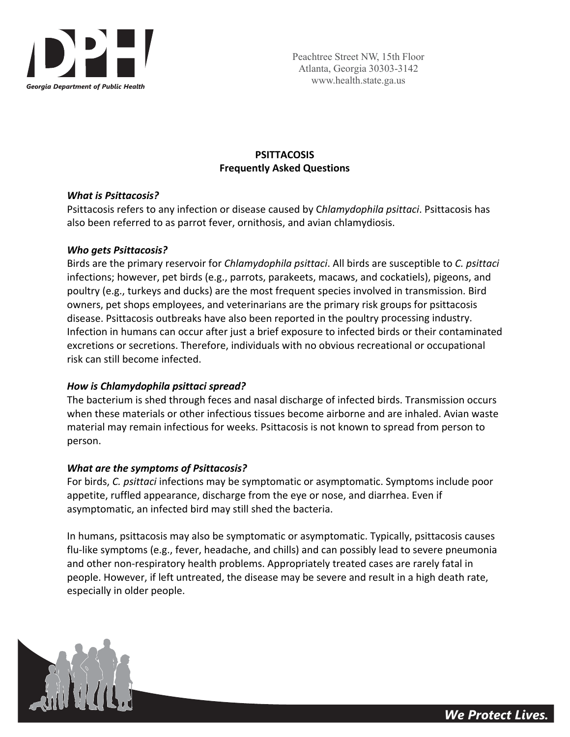

# **PSITTACOSIS Frequently Asked Questions**

### *What is Psittacosis?*

Psittacosis refers to any infection or disease caused by C*hlamydophila psittaci*. Psittacosis has also been referred to as parrot fever, ornithosis, and avian chlamydiosis.

## *Who gets Psittacosis?*

Birds are the primary reservoir for *Chlamydophila psittaci*. All birds are susceptible to *C. psittaci* infections; however, pet birds (e.g., parrots, parakeets, macaws, and cockatiels), pigeons, and poultry (e.g., turkeys and ducks) are the most frequent species involved in transmission. Bird owners, pet shops employees, and veterinarians are the primary risk groups for psittacosis disease. Psittacosis outbreaks have also been reported in the poultry processing industry. Infection in humans can occur after just a brief exposure to infected birds or their contaminated excretions or secretions. Therefore, individuals with no obvious recreational or occupational risk can still become infected.

## *How is Chlamydophila psittaci spread?*

The bacterium is shed through feces and nasal discharge of infected birds. Transmission occurs when these materials or other infectious tissues become airborne and are inhaled. Avian waste material may remain infectious for weeks. Psittacosis is not known to spread from person to person.

## *What are the symptoms of Psittacosis?*

For birds, *C. psittaci* infections may be symptomatic or asymptomatic. Symptoms include poor appetite, ruffled appearance, discharge from the eye or nose, and diarrhea. Even if asymptomatic, an infected bird may still shed the bacteria.

In humans, psittacosis may also be symptomatic or asymptomatic. Typically, psittacosis causes flu‐like symptoms (e.g., fever, headache, and chills) and can possibly lead to severe pneumonia and other non‐respiratory health problems. Appropriately treated cases are rarely fatal in people. However, if left untreated, the disease may be severe and result in a high death rate, especially in older people.

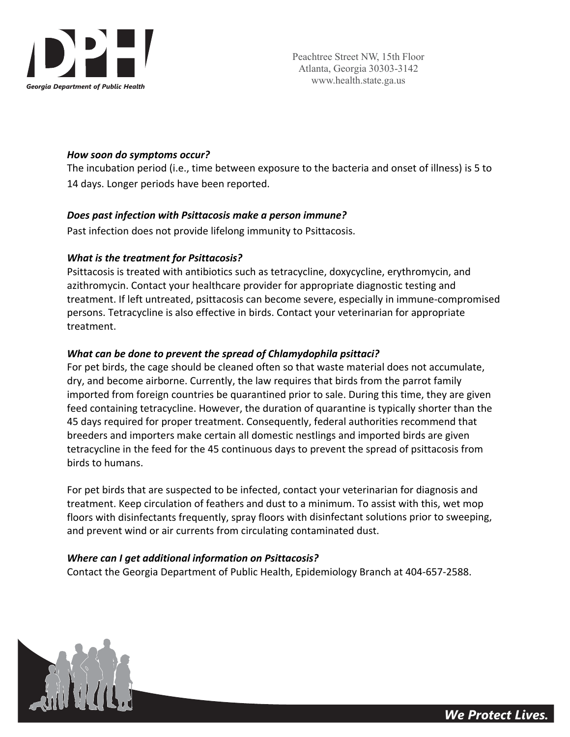

### *How soon do symptoms occur?*

The incubation period (i.e., time between exposure to the bacteria and onset of illness) is 5 to 14 days. Longer periods have been reported.

### *Does past infection with Psittacosis make a person immune?*

Past infection does not provide lifelong immunity to Psittacosis.

## *What is the treatment for Psittacosis?*

Psittacosis is treated with antibiotics such as tetracycline, doxycycline, erythromycin, and azithromycin. Contact your healthcare provider for appropriate diagnostic testing and treatment. If left untreated, psittacosis can become severe, especially in immune‐compromised persons. Tetracycline is also effective in birds. Contact your veterinarian for appropriate treatment.

## *What can be done to prevent the spread of Chlamydophila psittaci?*

For pet birds, the cage should be cleaned often so that waste material does not accumulate, dry, and become airborne. Currently, the law requires that birds from the parrot family imported from foreign countries be quarantined prior to sale. During this time, they are given feed containing tetracycline. However, the duration of quarantine is typically shorter than the 45 days required for proper treatment. Consequently, federal authorities recommend that breeders and importers make certain all domestic nestlings and imported birds are given tetracycline in the feed for the 45 continuous days to prevent the spread of psittacosis from birds to humans.

For pet birds that are suspected to be infected, contact your veterinarian for diagnosis and treatment. Keep circulation of feathers and dust to a minimum. To assist with this, wet mop floors with disinfectants frequently, spray floors with disinfectant solutions prior to sweeping, and prevent wind or air currents from circulating contaminated dust.

#### *Where can I get additional information on Psittacosis?*

Contact the Georgia Department of Public Health, Epidemiology Branch at 404‐657‐2588.